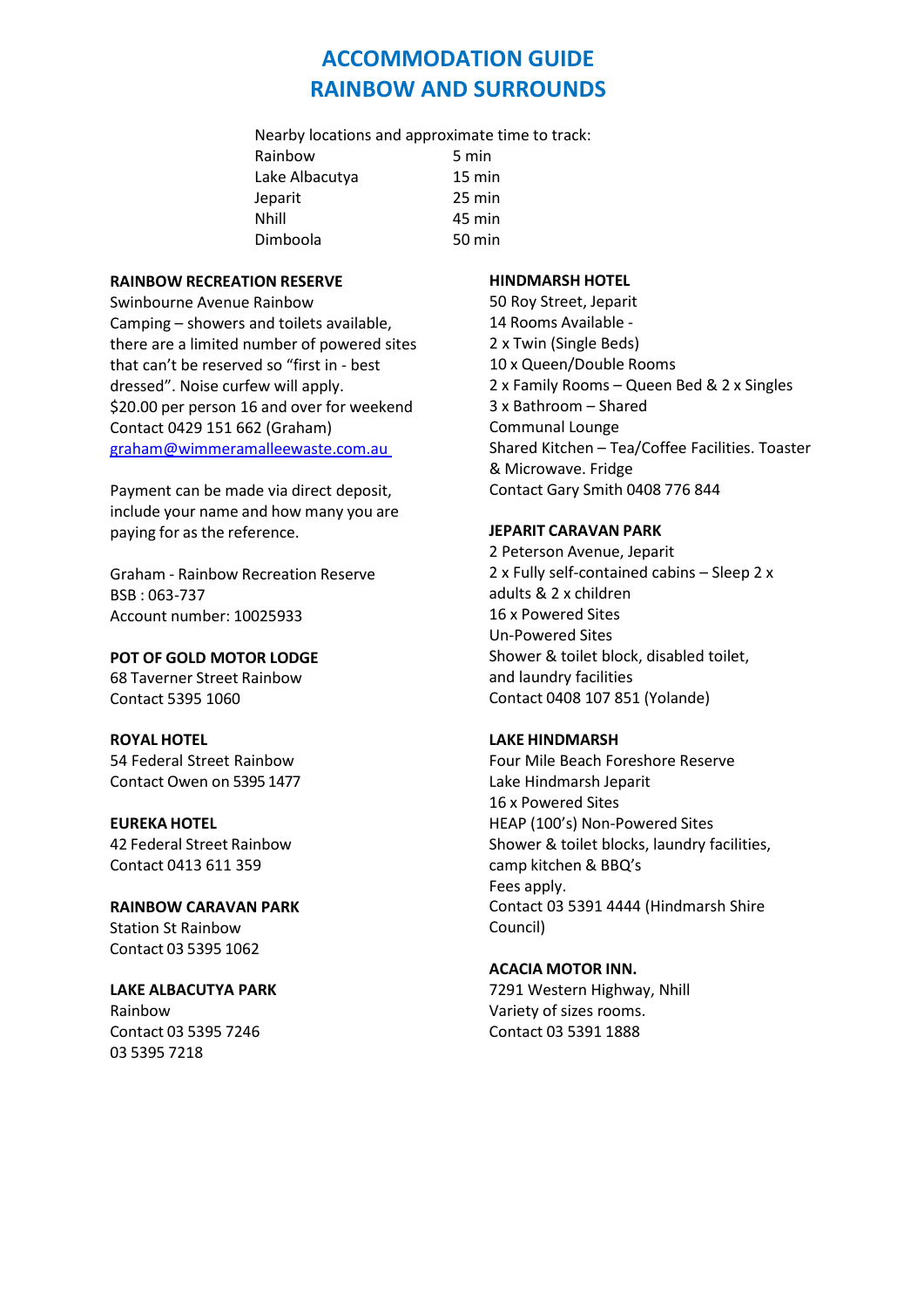# **ACCOMMODATION GUIDE RAINBOW AND SURROUNDS**

Nearby locations and approximate time to track: Rainbow 5 min Lake Albacutya 15 min Jeparit 25 min Nhill 45 min Dimboola 50 min

## **RAINBOW RECREATION RESERVE**

Swinbourne Avenue Rainbow Camping – showers and toilets available, there are a limited number of powered sites that can't be reserved so "first in - best dressed". Noise curfew will apply. \$20.00 per person 16 and over for weekend Contact 0429 151 662 (Graham) [graham@wimmeramalleewaste.com.au](mailto:graham@wimmeramalleewaste.com.au) 

Payment can be made via direct deposit, include your name and how many you are paying for as the reference.

Graham - Rainbow Recreation Reserve BSB : 063-737 Account number: 10025933

**POT OF GOLD MOTOR LODGE** 68 Taverner Street Rainbow Contact 5395 1060

## **ROYAL HOTEL**

54 Federal Street Rainbow Contact Owen on 5395 1477

## **EUREKA HOTEL**

42 Federal Street Rainbow Contact 0413 611 359

**RAINBOW CARAVAN PARK** Station St Rainbow Contact 03 5395 1062

# **LAKE ALBACUTYA PARK** Rainbow

Contact 03 5395 7246 03 5395 7218

# **HINDMARSH HOTEL**

50 Roy Street, Jeparit 14 Rooms Available - 2 x Twin (Single Beds) 10 x Queen/Double Rooms 2 x Family Rooms – Queen Bed & 2 x Singles 3 x Bathroom – Shared Communal Lounge Shared Kitchen – Tea/Coffee Facilities. Toaster & Microwave. Fridge Contact Gary Smith 0408 776 844

## **JEPARIT CARAVAN PARK**

2 Peterson Avenue, Jeparit 2 x Fully self-contained cabins – Sleep 2 x adults & 2 x children 16 x Powered Sites Un-Powered Sites Shower & toilet block, disabled toilet, and laundry facilities Contact 0408 107 851 (Yolande)

## **LAKE HINDMARSH**

Four Mile Beach Foreshore Reserve Lake Hindmarsh Jeparit 16 x Powered Sites HEAP (100's) Non-Powered Sites Shower & toilet blocks, laundry facilities, camp kitchen & BBQ's Fees apply. Contact 03 5391 4444 (Hindmarsh Shire Council)

#### **ACACIA MOTOR INN.**

7291 Western Highway, Nhill Variety of sizes rooms. Contact 03 5391 1888